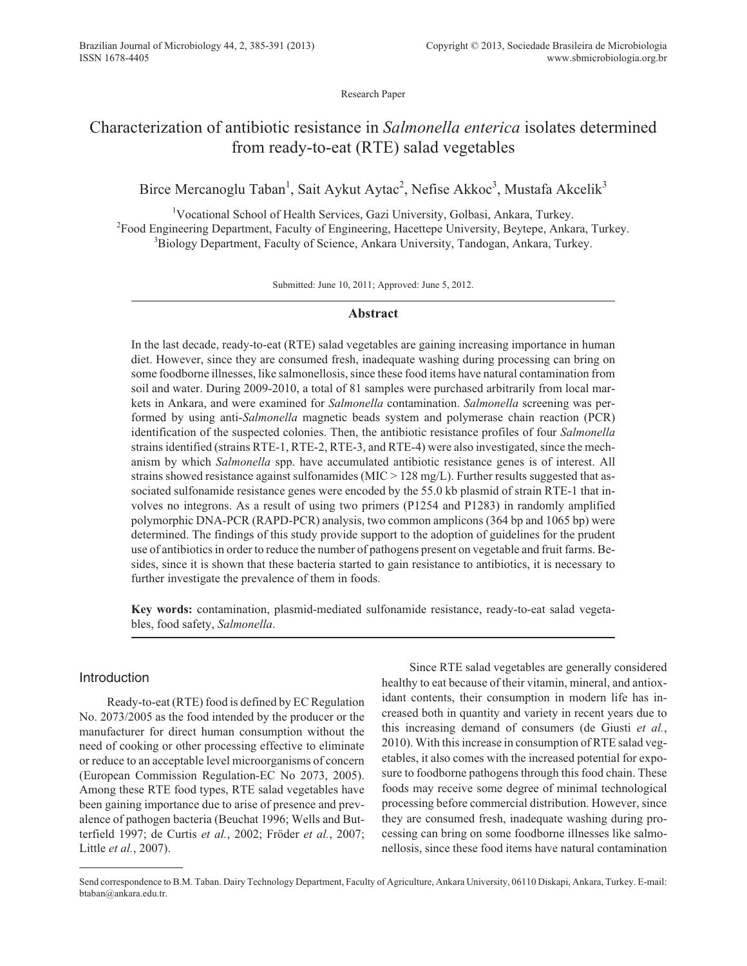Research Paper

# Characterization of antibiotic resistance in *Salmonella enterica* isolates determined from ready-to-eat (RTE) salad vegetables

## Birce Mercanoglu Taban<sup>1</sup>, Sait Aykut Aytac<sup>2</sup>, Nefise Akkoc<sup>3</sup>, Mustafa Akcelik<sup>3</sup>

<sup>1</sup>Vocational School of Health Services, Gazi University, Golbasi, Ankara, Turkey. <sup>2</sup> Food Engineering Department, Faculty of Engineering, Hacettepe University, Beytepe, Ankara, Turkey. <sup>3</sup>Biology Department, Faculty of Science, Ankara University, Tandogan, Ankara, Turkey.

Submitted: June 10, 2011; Approved: June 5, 2012.

## **Abstract**

In the last decade, ready-to-eat (RTE) salad vegetables are gaining increasing importance in human diet. However, since they are consumed fresh, inadequate washing during processing can bring on some foodborne illnesses, like salmonellosis, since these food items have natural contamination from soil and water. During 2009-2010, a total of 81 samples were purchased arbitrarily from local markets in Ankara, and were examined for *Salmonella* contamination. *Salmonella* screening was performed by using anti-*Salmonella* magnetic beads system and polymerase chain reaction (PCR) identification of the suspected colonies. Then, the antibiotic resistance profiles of four *Salmonella* strains identified (strains RTE-1, RTE-2, RTE-3, and RTE-4) were also investigated, since the mechanism by which *Salmonella* spp. have accumulated antibiotic resistance genes is of interest. All strains showed resistance against sulfonamides ( $MIC > 128$  mg/L). Further results suggested that associated sulfonamide resistance genes were encoded by the 55.0 kb plasmid of strain RTE-1 that involves no integrons. As a result of using two primers (P1254 and P1283) in randomly amplified polymorphic DNA-PCR (RAPD-PCR) analysis, two common amplicons (364 bp and 1065 bp) were determined. The findings of this study provide support to the adoption of guidelines for the prudent use of antibiotics in order to reduce the number of pathogens present on vegetable and fruit farms. Besides, since it is shown that these bacteria started to gain resistance to antibiotics, it is necessary to further investigate the prevalence of them in foods.

**Key words:** contamination, plasmid-mediated sulfonamide resistance, ready-to-eat salad vegetables, food safety, *Salmonella*.

## Introduction

Ready-to-eat (RTE) food is defined by EC Regulation No. 2073/2005 as the food intended by the producer or the manufacturer for direct human consumption without the need of cooking or other processing effective to eliminate or reduce to an acceptable level microorganisms of concern (European Commission Regulation-EC No 2073, 2005). Among these RTE food types, RTE salad vegetables have been gaining importance due to arise of presence and prevalence of pathogen bacteria (Beuchat 1996; Wells and Butterfield 1997; de Curtis *et al.*, 2002; Fröder *et al.*, 2007; Little *et al.*, 2007).

Since RTE salad vegetables are generally considered healthy to eat because of their vitamin, mineral, and antioxidant contents, their consumption in modern life has increased both in quantity and variety in recent years due to this increasing demand of consumers (de Giusti *et al.*, 2010). With this increase in consumption of RTE salad vegetables, it also comes with the increased potential for exposure to foodborne pathogens through this food chain. These foods may receive some degree of minimal technological processing before commercial distribution. However, since they are consumed fresh, inadequate washing during processing can bring on some foodborne illnesses like salmonellosis, since these food items have natural contamination

Send correspondence to B.M. Taban. Dairy Technology Department, Faculty of Agriculture, Ankara University, 06110 Diskapi, Ankara, Turkey. E-mail: btaban@ankara.edu.tr.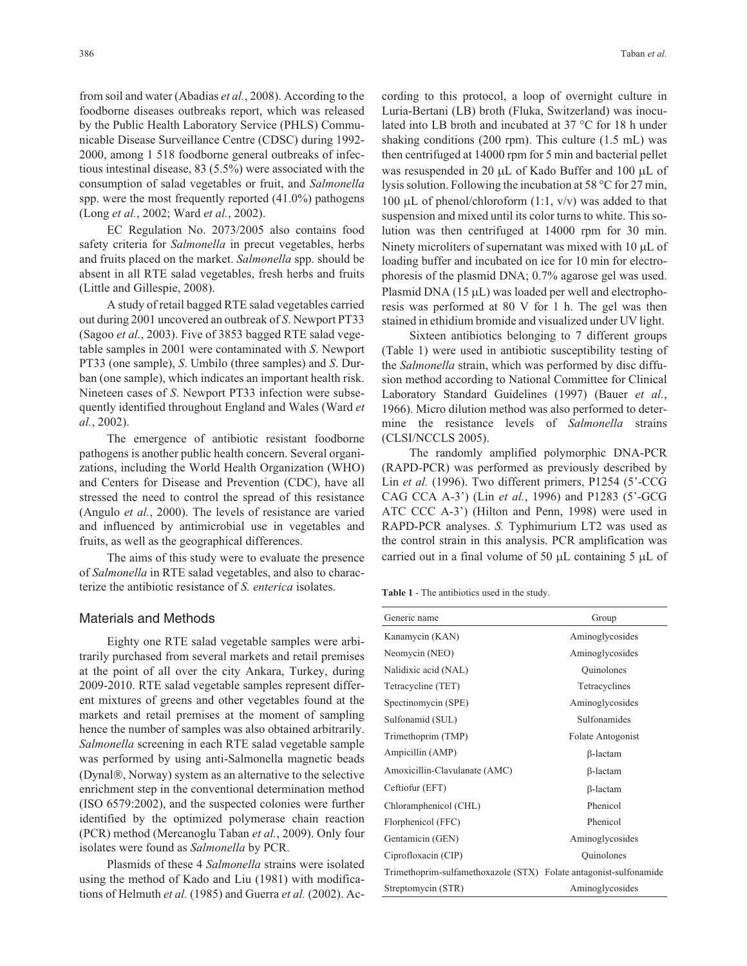from soil and water (Abadias *et al.*, 2008). According to the foodborne diseases outbreaks report, which was released by the Public Health Laboratory Service (PHLS) Communicable Disease Surveillance Centre (CDSC) during 1992- 2000, among 1 518 foodborne general outbreaks of infectious intestinal disease, 83 (5.5%) were associated with the consumption of salad vegetables or fruit, and *Salmonella* spp. were the most frequently reported (41.0%) pathogens (Long *et al.*, 2002; Ward *et al.*, 2002).

EC Regulation No. 2073/2005 also contains food safety criteria for *Salmonella* in precut vegetables, herbs and fruits placed on the market. *Salmonella* spp. should be absent in all RTE salad vegetables, fresh herbs and fruits (Little and Gillespie, 2008).

A study of retail bagged RTE salad vegetables carried out during 2001 uncovered an outbreak of *S*. Newport PT33 (Sagoo *et al.*, 2003). Five of 3853 bagged RTE salad vegetable samples in 2001 were contaminated with *S*. Newport PT33 (one sample), *S*. Umbilo (three samples) and *S*. Durban (one sample), which indicates an important health risk. Nineteen cases of *S*. Newport PT33 infection were subsequently identified throughout England and Wales (Ward *et al.*, 2002).

The emergence of antibiotic resistant foodborne pathogens is another public health concern. Several organizations, including the World Health Organization (WHO) and Centers for Disease and Prevention (CDC), have all stressed the need to control the spread of this resistance (Angulo *et al.*, 2000). The levels of resistance are varied and influenced by antimicrobial use in vegetables and fruits, as well as the geographical differences.

The aims of this study were to evaluate the presence of *Salmonella* in RTE salad vegetables, and also to characterize the antibiotic resistance of *S. enterica* isolates.

#### Materials and Methods

Eighty one RTE salad vegetable samples were arbitrarily purchased from several markets and retail premises at the point of all over the city Ankara, Turkey, during 2009-2010. RTE salad vegetable samples represent different mixtures of greens and other vegetables found at the markets and retail premises at the moment of sampling hence the number of samples was also obtained arbitrarily. *Salmonella* screening in each RTE salad vegetable sample was performed by using anti-Salmonella magnetic beads (Dynal®, Norway) system as an alternative to the selective enrichment step in the conventional determination method (ISO 6579:2002), and the suspected colonies were further identified by the optimized polymerase chain reaction (PCR) method (Mercanoglu Taban *et al.*, 2009). Only four isolates were found as *Salmonella* by PCR.

Plasmids of these 4 *Salmonella* strains were isolated using the method of Kado and Liu (1981) with modifications of Helmuth *et al.* (1985) and Guerra *et al.* (2002). According to this protocol, a loop of overnight culture in Luria-Bertani (LB) broth (Fluka, Switzerland) was inoculated into LB broth and incubated at 37 °C for 18 h under shaking conditions (200 rpm). This culture (1.5 mL) was then centrifuged at 14000 rpm for 5 min and bacterial pellet was resuspended in 20  $\mu$ L of Kado Buffer and 100  $\mu$ L of lysis solution. Following the incubation at 58 °C for 27 min, 100  $\mu$ L of phenol/chloroform (1:1, v/v) was added to that suspension and mixed until its color turns to white. This solution was then centrifuged at 14000 rpm for 30 min. Ninety microliters of supernatant was mixed with  $10 \mu L$  of loading buffer and incubated on ice for 10 min for electrophoresis of the plasmid DNA; 0.7% agarose gel was used. Plasmid DNA  $(15 \mu L)$  was loaded per well and electrophoresis was performed at 80 V for 1 h. The gel was then stained in ethidium bromide and visualized under UV light.

Sixteen antibiotics belonging to 7 different groups (Table 1) were used in antibiotic susceptibility testing of the *Salmonella* strain, which was performed by disc diffusion method according to National Committee for Clinical Laboratory Standard Guidelines (1997) (Bauer *et al.*, 1966). Micro dilution method was also performed to determine the resistance levels of *Salmonella* strains (CLSI/NCCLS 2005).

The randomly amplified polymorphic DNA-PCR (RAPD-PCR) was performed as previously described by Lin *et al.* (1996). Two different primers, P1254 (5'-CCG CAG CCA A-3') (Lin *et al.*, 1996) and P1283 (5'-GCG ATC CCC A-3') (Hilton and Penn, 1998) were used in RAPD-PCR analyses. *S.* Typhimurium LT2 was used as the control strain in this analysis. PCR amplification was carried out in a final volume of 50  $\mu$ L containing 5  $\mu$ L of

**Table 1** - The antibiotics used in the study.

| Generic name                                                      | Group             |
|-------------------------------------------------------------------|-------------------|
| Kanamycin (KAN)                                                   | Aminoglycosides   |
| Neomycin (NEO)                                                    | Aminoglycosides   |
| Nalidixic acid (NAL)                                              | Quinolones        |
| Tetracycline (TET)                                                | Tetracyclines     |
| Spectinomycin (SPE)                                               | Aminoglycosides   |
| Sulfonamid (SUL)                                                  | Sulfonamides      |
| Trimethoprim (TMP)                                                | Folate Antogonist |
| Ampicillin (AMP)                                                  | $\beta$ -lactam   |
| Amoxicillin-Clavulanate (AMC)                                     | $\beta$ -lactam   |
| Ceftiofur (EFT)                                                   | $\beta$ -lactam   |
| Chloramphenicol (CHL)                                             | Phenicol          |
| Florphenicol (FFC)                                                | Phenicol          |
| Gentamicin (GEN)                                                  | Aminoglycosides   |
| Ciprofloxacin (CIP)                                               | Quinolones        |
| Trimethoprim-sulfamethoxazole (STX) Folate antagonist-sulfonamide |                   |
| Streptomycin (STR)                                                | Aminoglycosides   |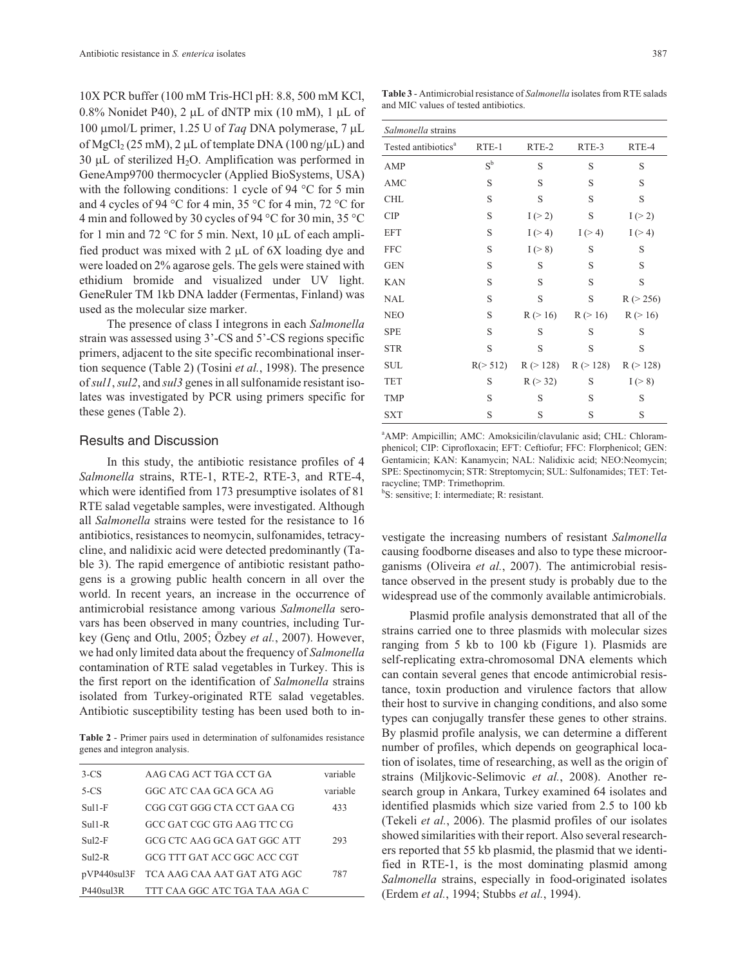10X PCR buffer (100 mM Tris-HCl pH: 8.8, 500 mM KCl, 0.8% Nonidet P40), 2  $\mu$ L of dNTP mix (10 mM), 1  $\mu$ L of 100 µmol/L primer, 1.25 U of *Taq* DNA polymerase,  $7 \mu L$ of MgCl<sub>2</sub> (25 mM), 2 µL of template DNA (100 ng/µL) and 30  $\mu$ L of sterilized H<sub>2</sub>O. Amplification was performed in GeneAmp9700 thermocycler (Applied BioSystems, USA) with the following conditions: 1 cycle of 94 °C for 5 min and 4 cycles of 94 °C for 4 min, 35 °C for 4 min, 72 °C for 4 min and followed by 30 cycles of 94 °C for 30 min, 35 °C for 1 min and 72  $\degree$ C for 5 min. Next, 10 µL of each amplified product was mixed with  $2 \mu L$  of 6X loading dye and were loaded on 2% agarose gels. The gels were stained with ethidium bromide and visualized under UV light. GeneRuler TM 1kb DNA ladder (Fermentas, Finland) was used as the molecular size marker.

The presence of class I integrons in each *Salmonella* strain was assessed using 3'-CS and 5'-CS regions specific primers, adjacent to the site specific recombinational insertion sequence (Table 2) (Tosini *et al.*, 1998). The presence of*sul1*,*sul2*, and *sul3* genes in all sulfonamide resistant isolates was investigated by PCR using primers specific for these genes (Table 2).

#### Results and Discussion

In this study, the antibiotic resistance profiles of 4 *Salmonella* strains, RTE-1, RTE-2, RTE-3, and RTE-4, which were identified from 173 presumptive isolates of 81 RTE salad vegetable samples, were investigated. Although all *Salmonella* strains were tested for the resistance to 16 antibiotics, resistances to neomycin, sulfonamides, tetracycline, and nalidixic acid were detected predominantly (Table 3). The rapid emergence of antibiotic resistant pathogens is a growing public health concern in all over the world. In recent years, an increase in the occurrence of antimicrobial resistance among various *Salmonella* serovars has been observed in many countries, including Turkey (Genç and Otlu, 2005; Özbey *et al.*, 2007). However, we had only limited data about the frequency of *Salmonella* contamination of RTE salad vegetables in Turkey. This is the first report on the identification of *Salmonella* strains isolated from Turkey-originated RTE salad vegetables. Antibiotic susceptibility testing has been used both to in-

**Table 2** - Primer pairs used in determination of sulfonamides resistance genes and integron analysis.

| $3-CS$      | AAG CAG ACT TGA CCT GA        | variable |
|-------------|-------------------------------|----------|
| $5-CS$      | GGC ATC CAA GCA GCA AG        | variable |
| $Sul1-F$    | CGG CGT GGG CTA CCT GAA CG    | 433      |
| $Sul1-R$    | GCC GAT CGC GTG AAG TTC CG    |          |
| $Su12-F$    | GCG CTC AAG GCA GAT GGC ATT   | 293      |
| $Sul2-R$    | GCG TTT GAT ACC GGC ACC CGT   |          |
| pVP440sul3F | TCA AAG CAA AAT GAT ATG AGC   | 787      |
| P440sul3R   | TTT CAA GGC ATC TGA TAA AGA C |          |

**Table 3** - Antimicrobial resistance of *Salmonella* isolates from RTE salads and MIC values of tested antibiotics.

| Salmonella strains              |                    |           |           |           |  |
|---------------------------------|--------------------|-----------|-----------|-----------|--|
| Tested antibiotics <sup>a</sup> | RTE-1              | RTE-2     | RTE-3     | RTE-4     |  |
| AMP                             | $S^{\mathfrak{b}}$ | S         | S         | S         |  |
| AMC                             | S                  | S         | S         | S         |  |
| <b>CHL</b>                      | S                  | S         | S         | S         |  |
| <b>CIP</b>                      | $\mathbf S$        | I(>2)     | S         | I(>2)     |  |
| <b>EFT</b>                      | S                  | I(>4)     | I(>4)     | I(>4)     |  |
| <b>FFC</b>                      | S                  | I(>8)     | S         | S         |  |
| <b>GEN</b>                      | S                  | S         | S         | S         |  |
| <b>KAN</b>                      | S                  | S         | S         | S         |  |
| <b>NAL</b>                      | S                  | S         | S         | R (> 256) |  |
| <b>NEO</b>                      | S                  | R (> 16)  | R (> 16)  | R (> 16)  |  |
| <b>SPE</b>                      | S                  | S         | S         | S         |  |
| <b>STR</b>                      | S                  | S         | S         | S         |  |
| <b>SUL</b>                      | R(> 512)           | R (> 128) | R (> 128) | R (> 128) |  |
| <b>TET</b>                      | S                  | R (> 32)  | S         | I(>8)     |  |
| <b>TMP</b>                      | S                  | S         | S         | S         |  |
| <b>SXT</b>                      | S                  | S         | S         | S         |  |

a AMP: Ampicillin; AMC: Amoksicilin/clavulanic asid; CHL: Chloramphenicol; CIP: Ciprofloxacin; EFT: Ceftiofur; FFC: Florphenicol; GEN: Gentamicin; KAN: Kanamycin; NAL: Nalidixic acid; NEO:Neomycin; SPE: Spectinomycin; STR: Streptomycin; SUL: Sulfonamides; TET: Tetracycline; TMP: Trimethoprim.

b S: sensitive; I: intermediate; R: resistant.

vestigate the increasing numbers of resistant *Salmonella* causing foodborne diseases and also to type these microorganisms (Oliveira *et al.*, 2007). The antimicrobial resistance observed in the present study is probably due to the widespread use of the commonly available antimicrobials.

Plasmid profile analysis demonstrated that all of the strains carried one to three plasmids with molecular sizes ranging from 5 kb to 100 kb (Figure 1). Plasmids are self-replicating extra-chromosomal DNA elements which can contain several genes that encode antimicrobial resistance, toxin production and virulence factors that allow their host to survive in changing conditions, and also some types can conjugally transfer these genes to other strains. By plasmid profile analysis, we can determine a different number of profiles, which depends on geographical location of isolates, time of researching, as well as the origin of strains (Miljkovic-Selimovic *et al.*, 2008). Another research group in Ankara, Turkey examined 64 isolates and identified plasmids which size varied from 2.5 to 100 kb (Tekeli *et al.*, 2006). The plasmid profiles of our isolates showed similarities with their report. Also several researchers reported that 55 kb plasmid, the plasmid that we identified in RTE-1, is the most dominating plasmid among *Salmonella* strains, especially in food-originated isolates (Erdem *et al.*, 1994; Stubbs *et al.*, 1994).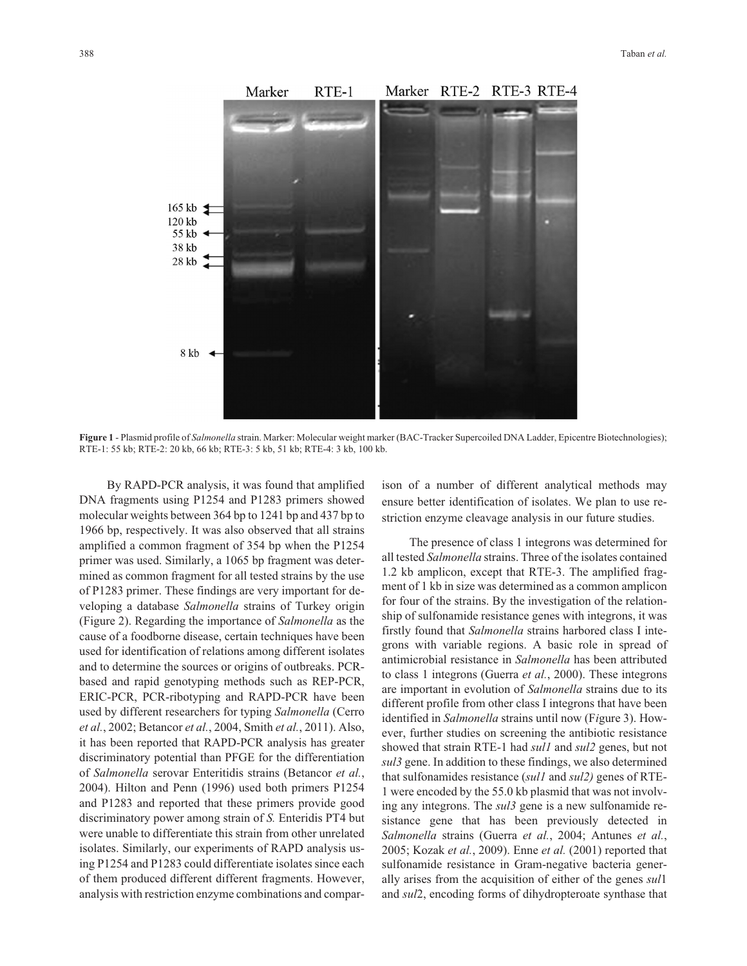

**Figure 1** - Plasmid profile of *Salmonella* strain. Marker: Molecular weight marker (BAC-Tracker Supercoiled DNA Ladder, Epicentre Biotechnologies); RTE-1: 55 kb; RTE-2: 20 kb, 66 kb; RTE-3: 5 kb, 51 kb; RTE-4: 3 kb, 100 kb.

By RAPD-PCR analysis, it was found that amplified DNA fragments using P1254 and P1283 primers showed molecular weights between 364 bp to 1241 bp and 437 bp to 1966 bp, respectively. It was also observed that all strains amplified a common fragment of 354 bp when the P1254 primer was used. Similarly, a 1065 bp fragment was determined as common fragment for all tested strains by the use of P1283 primer. These findings are very important for developing a database *Salmonella* strains of Turkey origin (Figure 2). Regarding the importance of *Salmonella* as the cause of a foodborne disease, certain techniques have been used for identification of relations among different isolates and to determine the sources or origins of outbreaks. PCRbased and rapid genotyping methods such as REP-PCR, ERIC-PCR, PCR-ribotyping and RAPD-PCR have been used by different researchers for typing *Salmonella* (Cerro *et al.*, 2002; Betancor *et al.*, 2004, Smith *et al.*, 2011). Also, it has been reported that RAPD-PCR analysis has greater discriminatory potential than PFGE for the differentiation of *Salmonella* serovar Enteritidis strains (Betancor *et al.*, 2004). Hilton and Penn (1996) used both primers P1254 and P1283 and reported that these primers provide good discriminatory power among strain of *S.* Enteridis PT4 but were unable to differentiate this strain from other unrelated isolates. Similarly, our experiments of RAPD analysis using P1254 and P1283 could differentiate isolates since each of them produced different different fragments. However, analysis with restriction enzyme combinations and comparison of a number of different analytical methods may ensure better identification of isolates. We plan to use restriction enzyme cleavage analysis in our future studies.

The presence of class 1 integrons was determined for all tested *Salmonella* strains. Three of the isolates contained 1.2 kb amplicon, except that RTE-3. The amplified fragment of 1 kb in size was determined as a common amplicon for four of the strains. By the investigation of the relationship of sulfonamide resistance genes with integrons, it was firstly found that *Salmonella* strains harbored class I integrons with variable regions. A basic role in spread of antimicrobial resistance in *Salmonella* has been attributed to class 1 integrons (Guerra *et al.*, 2000). These integrons are important in evolution of *Salmonella* strains due to its different profile from other class I integrons that have been identified in *Salmonella* strains until now (F*i*gure 3). However, further studies on screening the antibiotic resistance showed that strain RTE-1 had *sul1* and *sul2* genes, but not *sul3* gene. In addition to these findings, we also determined that sulfonamides resistance (*sul1* and *sul2)* genes of RTE-1 were encoded by the 55.0 kb plasmid that was not involving any integrons. The *sul3* gene is a new sulfonamide resistance gene that has been previously detected in *Salmonella* strains (Guerra *et al.*, 2004; Antunes *et al.*, 2005; Kozak *et al.*, 2009). Enne *et al.* (2001) reported that sulfonamide resistance in Gram-negative bacteria generally arises from the acquisition of either of the genes *sul*1 and *sul*2, encoding forms of dihydropteroate synthase that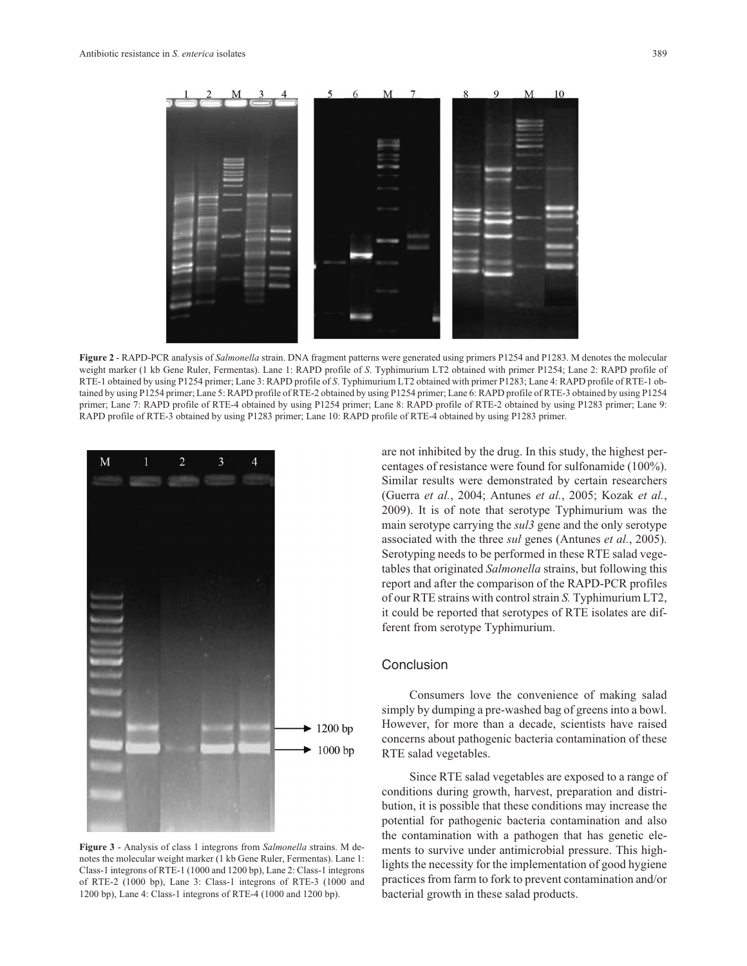

**Figure 2** - RAPD-PCR analysis of *Salmonella* strain. DNA fragment patterns were generated using primers P1254 and P1283. M denotes the molecular weight marker (1 kb Gene Ruler, Fermentas). Lane 1: RAPD profile of *S*. Typhimurium LT2 obtained with primer P1254; Lane 2: RAPD profile of RTE-1 obtained by using P1254 primer; Lane 3: RAPD profile of *S*. Typhimurium LT2 obtained with primer P1283; Lane 4: RAPD profile of RTE-1 obtained by using P1254 primer; Lane 5: RAPD profile of RTE-2 obtained by using P1254 primer; Lane 6: RAPD profile of RTE-3 obtained by using P1254 primer; Lane 7: RAPD profile of RTE-4 obtained by using P1254 primer; Lane 8: RAPD profile of RTE-2 obtained by using P1283 primer; Lane 9: RAPD profile of RTE-3 obtained by using P1283 primer; Lane 10: RAPD profile of RTE-4 obtained by using P1283 primer.



**Figure 3** - Analysis of class 1 integrons from *Salmonella* strains. M denotes the molecular weight marker (1 kb Gene Ruler, Fermentas). Lane 1: Class-1 integrons of RTE-1 (1000 and 1200 bp), Lane 2: Class-1 integrons of RTE-2 (1000 bp), Lane 3: Class-1 integrons of RTE-3 (1000 and 1200 bp), Lane 4: Class-1 integrons of RTE-4 (1000 and 1200 bp).

are not inhibited by the drug. In this study, the highest percentages of resistance were found for sulfonamide (100%). Similar results were demonstrated by certain researchers (Guerra *et al.*, 2004; Antunes *et al.*, 2005; Kozak *et al.*, 2009). It is of note that serotype Typhimurium was the main serotype carrying the *sul3* gene and the only serotype associated with the three *sul* genes (Antunes *et al.*, 2005). Serotyping needs to be performed in these RTE salad vegetables that originated *Salmonella* strains, but following this report and after the comparison of the RAPD-PCR profiles of our RTE strains with control strain *S.* Typhimurium LT2, it could be reported that serotypes of RTE isolates are different from serotype Typhimurium.

### **Conclusion**

Consumers love the convenience of making salad simply by dumping a pre-washed bag of greens into a bowl. However, for more than a decade, scientists have raised concerns about pathogenic bacteria contamination of these RTE salad vegetables.

Since RTE salad vegetables are exposed to a range of conditions during growth, harvest, preparation and distribution, it is possible that these conditions may increase the potential for pathogenic bacteria contamination and also the contamination with a pathogen that has genetic elements to survive under antimicrobial pressure. This highlights the necessity for the implementation of good hygiene practices from farm to fork to prevent contamination and/or bacterial growth in these salad products.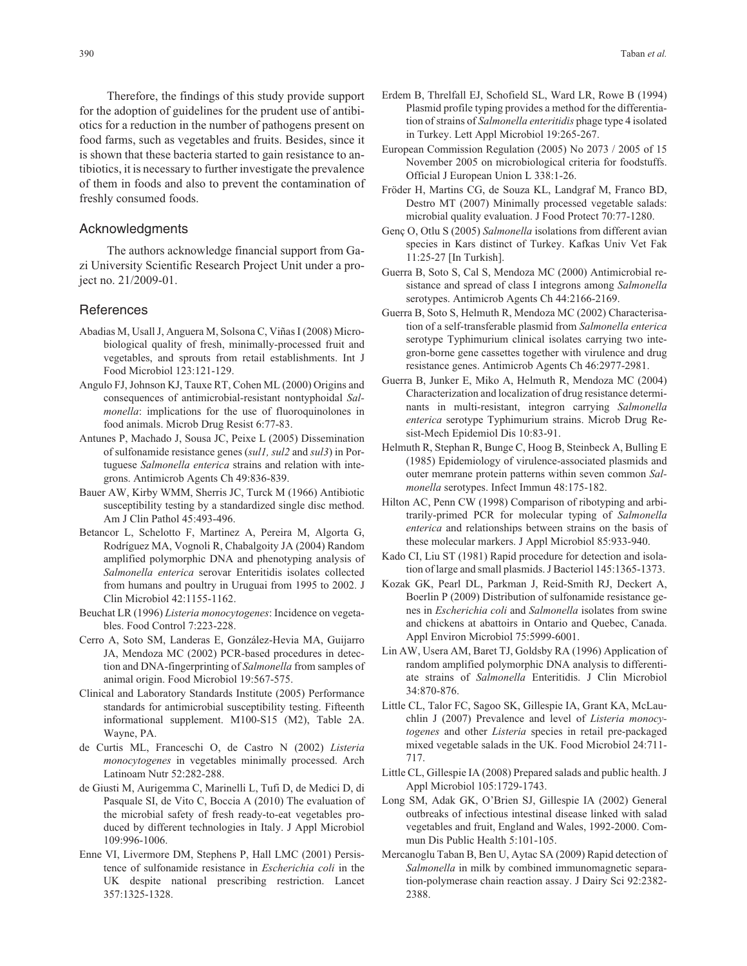Therefore, the findings of this study provide support for the adoption of guidelines for the prudent use of antibiotics for a reduction in the number of pathogens present on food farms, such as vegetables and fruits. Besides, since it is shown that these bacteria started to gain resistance to antibiotics, it is necessary to further investigate the prevalence of them in foods and also to prevent the contamination of freshly consumed foods.

#### Acknowledgments

The authors acknowledge financial support from Gazi University Scientific Research Project Unit under a project no. 21/2009-01.

#### References

- Abadias M, Usall J, Anguera M, Solsona C, Viñas I (2008) Microbiological quality of fresh, minimally-processed fruit and vegetables, and sprouts from retail establishments. Int J Food Microbiol 123:121-129.
- Angulo FJ, Johnson KJ, Tauxe RT, Cohen ML (2000) Origins and consequences of antimicrobial-resistant nontyphoidal *Salmonella*: implications for the use of fluoroquinolones in food animals. Microb Drug Resist 6:77-83.
- Antunes P, Machado J, Sousa JC, Peixe L (2005) Dissemination of sulfonamide resistance genes (*sul1, sul2* and *sul3*) in Portuguese *Salmonella enterica* strains and relation with integrons. Antimicrob Agents Ch 49:836-839.
- Bauer AW, Kirby WMM, Sherris JC, Turck M (1966) Antibiotic susceptibility testing by a standardized single disc method. Am J Clin Pathol 45:493-496.
- Betancor L, Schelotto F, Martinez A, Pereira M, Algorta G, Rodríguez MA, Vognoli R, Chabalgoity JA (2004) Random amplified polymorphic DNA and phenotyping analysis of *Salmonella enterica* serovar Enteritidis isolates collected from humans and poultry in Uruguai from 1995 to 2002. J Clin Microbiol 42:1155-1162.
- Beuchat LR (1996) *Listeria monocytogenes*: Incidence on vegetables. Food Control 7:223-228.
- Cerro A, Soto SM, Landeras E, González-Hevia MA, Guijarro JA, Mendoza MC (2002) PCR-based procedures in detection and DNA-fingerprinting of *Salmonella* from samples of animal origin. Food Microbiol 19:567-575.
- Clinical and Laboratory Standards Institute (2005) Performance standards for antimicrobial susceptibility testing. Fifteenth informational supplement. M100-S15 (M2), Table 2A. Wayne, PA.
- de Curtis ML, Franceschi O, de Castro N (2002) *Listeria monocytogenes* in vegetables minimally processed. Arch Latinoam Nutr 52:282-288.
- de Giusti M, Aurigemma C, Marinelli L, Tufi D, de Medici D, di Pasquale SI, de Vito C, Boccia A (2010) The evaluation of the microbial safety of fresh ready-to-eat vegetables produced by different technologies in Italy. J Appl Microbiol 109:996-1006.
- Enne VI, Livermore DM, Stephens P, Hall LMC (2001) Persistence of sulfonamide resistance in *Escherichia coli* in the UK despite national prescribing restriction. Lancet 357:1325-1328.
- Erdem B, Threlfall EJ, Schofield SL, Ward LR, Rowe B (1994) Plasmid profile typing provides a method for the differentiation of strains of *Salmonella enteritidis* phage type 4 isolated in Turkey. Lett Appl Microbiol 19:265-267.
- European Commission Regulation (2005) No 2073 / 2005 of 15 November 2005 on microbiological criteria for foodstuffs. Official J European Union L 338:1-26.
- Fröder H, Martins CG, de Souza KL, Landgraf M, Franco BD, Destro MT (2007) Minimally processed vegetable salads: microbial quality evaluation. J Food Protect 70:77-1280.
- Genç O, Otlu S (2005) *Salmonella* isolations from different avian species in Kars distinct of Turkey. Kafkas Univ Vet Fak 11:25-27 [In Turkish].
- Guerra B, Soto S, Cal S, Mendoza MC (2000) Antimicrobial resistance and spread of class I integrons among *Salmonella* serotypes. Antimicrob Agents Ch 44:2166-2169.
- Guerra B, Soto S, Helmuth R, Mendoza MC (2002) Characterisation of a self-transferable plasmid from *Salmonella enterica* serotype Typhimurium clinical isolates carrying two integron-borne gene cassettes together with virulence and drug resistance genes. Antimicrob Agents Ch 46:2977-2981.
- Guerra B, Junker E, Miko A, Helmuth R, Mendoza MC (2004) Characterization and localization of drug resistance determinants in multi-resistant, integron carrying *Salmonella enterica* serotype Typhimurium strains. Microb Drug Resist-Mech Epidemiol Dis 10:83-91.
- Helmuth R, Stephan R, Bunge C, Hoog B, Steinbeck A, Bulling E (1985) Epidemiology of virulence-associated plasmids and outer memrane protein patterns within seven common *Salmonella* serotypes. Infect Immun 48:175-182.
- Hilton AC, Penn CW (1998) Comparison of ribotyping and arbitrarily-primed PCR for molecular typing of *Salmonella enterica* and relationships between strains on the basis of these molecular markers. J Appl Microbiol 85:933-940.
- Kado CI, Liu ST (1981) Rapid procedure for detection and isolation of large and small plasmids. J Bacteriol 145:1365-1373.
- Kozak GK, Pearl DL, Parkman J, Reid-Smith RJ, Deckert A, Boerlin P (2009) Distribution of sulfonamide resistance genes in *Escherichia coli* and *Salmonella* isolates from swine and chickens at abattoirs in Ontario and Quebec, Canada. Appl Environ Microbiol 75:5999-6001.
- Lin AW, Usera AM, Baret TJ, Goldsby RA (1996) Application of random amplified polymorphic DNA analysis to differentiate strains of *Salmonella* Enteritidis. J Clin Microbiol 34:870-876.
- Little CL, Talor FC, Sagoo SK, Gillespie IA, Grant KA, McLauchlin J (2007) Prevalence and level of *Listeria monocytogenes* and other *Listeria* species in retail pre-packaged mixed vegetable salads in the UK. Food Microbiol 24:711- 717.
- Little CL, Gillespie IA (2008) Prepared salads and public health. J Appl Microbiol 105:1729-1743.
- Long SM, Adak GK, O'Brien SJ, Gillespie IA (2002) General outbreaks of infectious intestinal disease linked with salad vegetables and fruit, England and Wales, 1992-2000. Commun Dis Public Health 5:101-105.
- Mercanoglu Taban B, Ben U, Aytac SA (2009) Rapid detection of *Salmonella* in milk by combined immunomagnetic separation-polymerase chain reaction assay. J Dairy Sci 92:2382- 2388.